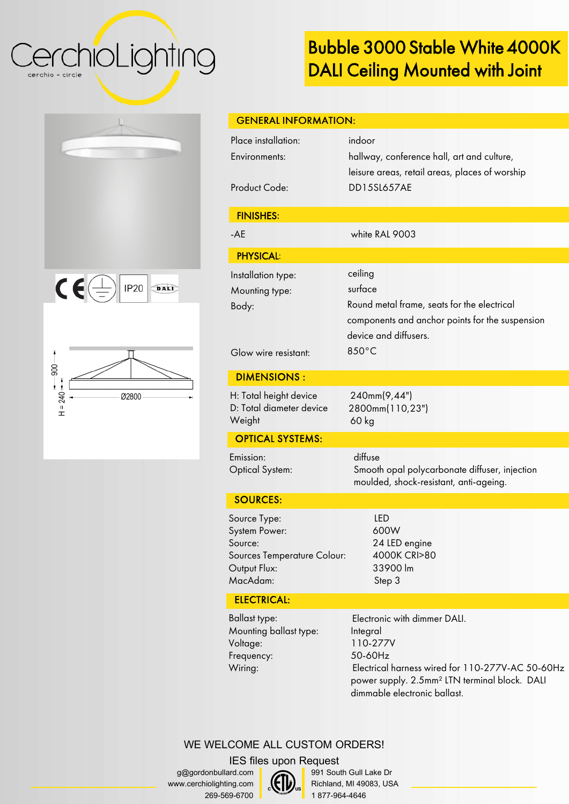CerchioLighting cerchio = circle

# Bubble 3000 Stable White 4000K DALI Ceiling Mounted with Joint

| $C\bigoplus$<br>IP20<br>DALD |
|------------------------------|





| <b>GENERAL INFORMATION:</b>            |                                                                                              |
|----------------------------------------|----------------------------------------------------------------------------------------------|
| Place installation:<br>Environments:   | indoor                                                                                       |
|                                        | hallway, conference hall, art and culture,<br>leisure areas, retail areas, places of worship |
| <b>Product Code:</b>                   | <b>DD15SL657AE</b>                                                                           |
| <b>FINISHES:</b>                       |                                                                                              |
| $-AE$                                  | white RAL 9003                                                                               |
| <b>PHYSICAL:</b>                       |                                                                                              |
| Installation type:                     | ceiling                                                                                      |
| Mounting type:                         | surface                                                                                      |
| Body:                                  | Round metal frame, seats for the electrical                                                  |
|                                        | components and anchor points for the suspension                                              |
|                                        | device and diffusers.                                                                        |
| Glow wire resistant:                   | 850°C                                                                                        |
| <b>DIMENSIONS:</b>                     |                                                                                              |
| H: Total height device                 | 240mm(9,44")                                                                                 |
| D: Total diameter device               | 2800mm(110,23")                                                                              |
| Weight                                 | $60$ kg                                                                                      |
| <b>OPTICAL SYSTEMS:</b>                |                                                                                              |
| Emission:                              | diffuse                                                                                      |
| <b>Optical System:</b>                 | Smooth opal polycarbonate diffuser, injection                                                |
|                                        | moulded, shock-resistant, anti-ageing.                                                       |
| <b>SOURCES:</b>                        |                                                                                              |
| Source Type:                           | <b>LED</b>                                                                                   |
| System Power:                          | 600W                                                                                         |
| Source:<br>Sources Temperature Colour: | 24 LED engine<br>4000K CRI>80                                                                |
| Output Flux:                           | 33900 lm                                                                                     |
| MacAdam:                               | Step 3                                                                                       |
| <b>ELECTRICAL:</b>                     |                                                                                              |

Ballast type: Mounting ballast type: Voltage: Frequency: Wiring:

Electronic with dimmer DALI. Integral 110-277V 50-60Hz Electrical harness wired for 110-277V-AC 50-60Hz power supply. 2.5mm² LTN terminal block. DALI dimmable electronic ballast.